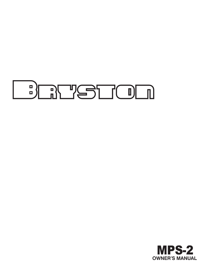

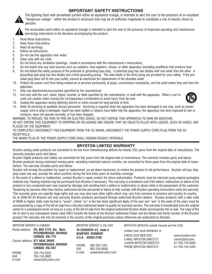## **IPORTANT SAFETY INSTRUCTIONS**



The lightning flash with arrowhead symbol within an equilateral triangle, is intended to alert the user to the presence of un-insulated "dangerous voltage " within the product's enclosure that may be of sufficient magnitude to constitute a risk of electric shock to persons.



The exclamation point within an equilateral triangle is intended to alert the user to the presence of important operating and maintenance (servicing) instructions in the literature accompanying the product.

- 1. Read these instructions.
- 2. Keep these instructions.
- 3. Heed all warnings.
- 4. Follow all instructions.
- 5. Do not use this apparatus near water.
- 6. Clean only with dry cloth.
- 7. Do not block any ventilation openings. Install in accordance with the manufacturer's instructions.
- 8. Do not install near any heat sources such as radiators, heat registers, stoves, or other apparatus (including amplifiers) that produce heat.
- 9. Do not defeat the safety purpose of the polarized or grounding-type plug. A polarized plug has two blades with one wider than the other. A grounding type plug has two blades and a third grounding prong. The wide blade or the third prong are provided for your safety. If the provided plug does not fit into your outlet, consult an electrician for replacement of the obsolete outlet.
- 10. Protect the power cord from being walked on or pinched particularly at plugs, convenience receptacles, and the point where they exit from the apparatus.
- 11. Only use attachments/accessories specified by the manufacturer.
- 12. Use only with the cart, stand, tripod, bracket, or table specified by the manufacturer, or sold with the apparatus. When a cart is used use caution when moving the cart/apparatus combination to avoid injury from tip-over.



- 13. Unplug this apparatus during lightning storms or when unused for long periods of time.
- 14. Refer all servicing to qualified service personnel. Servicing is required when the apparatus has been damaged in any way, such as powersupply cord or plug is damaged, liquid has been spilled or objects have fallen into the apparatus, the apparatus has been exposed to rain or moisture, does not operate normally, or has been dropped.

WARNING: TO REDUCE THE RISK OF FIRE OR ELECTRIC SHOCK, DO NOT EXPOSE THIS APPARATUS TO RAIN OR MOISTURE.

DO NOT EXPOSE THIS EQUIPMENT TO DRIPPING OR SPLASHING AND ENSURE THAT NO OBJECTS FILLED WITH LIQUIDS, SUCH AS VASES, ARE PLACED ON THE EQUIPMENT.

TO COMPLETELY DISCONNECT THIS EQUIPMENT FROM THE AC MAINS, DISCONNECT THE POWER SUPPLY CORD PLUG FROM THE AC RECEPTACLE.

THE MAINS PLUG OF THE POWER SUPPLY CORD SHALL REMAIN READILY OPERABLE.

### **BRYSTON LIMITED WARRANTY**

Bryston analog audio products are warranted to be free from manufacturing defects for twenty (20) years from the original date of manufacture. The warranty includes parts and labour.

Bryston Digital products and cables are warranted for five years from the original date of manufacture. The warranty includes parts and labour. Bryston products having motorized moving parts, excluding motorized volume controls, are warranted for three years from the original date of manufacture. The warranty includes parts and labour.

Bryston will remedy the problem by repair or replacement, as we deem necessary, to restore the product to full performance. Bryston will pay shipping costs one way (usually the return portion) during the first three years of warranty coverage.

In the event of a defect or malfunction, contact Bryston's repair centers for return authorization. Products must be returned using original packaging material only. Packing material may be purchased from Bryston if necessary. This warranty is considered void if the defect, malfunction or failure of the product or any component part was caused by damage (not resulting from a defect or malfunction) or abuse while in the possession of the customer. Tampering by persons other than factory authorized service personnel or failure to fully comply with Bryston operating instructions voids the warranty. This warranty gives you specific legal rights and you may also have other rights which may vary from province to province and country to country. As of 2006-02-22 Bryston will only warranty Bryston products purchased through authorized Bryston dealers. Bryston products with a date code of 0608 or higher (date code format is "yyww", where "yy" is the two least significant digits of the year and "ww" is the week of the year) must be accompanied by a copy of the bill-of-sale from a Bryston authorized dealer to qualify for warranty service. The warranty is transferable from the original owner to a subsequent owner as long as a copy of the bill-of-sale from the original authorized Bryston dealer accompanies the re-sale. The copy of the bill of sale to any subsequent owner need ONLY include the Name of the Bryston Authorized Dealer and the Model and Serial number of the Bryston product The warranty will only be honored in the country of the original purchase unless otherwise pre-authorized by Bryston.

*BRYSTON SERVICE outside Canada and the USA*:

#### *BRYSTON SERVICE in CANADA*: *BRYSTON SERVICE in the USA*:

|                           | Postal address: P.O. BOX 2170, Stn. Main<br>PETERBOROUGH, ONTARIO<br>CANADA K9J 7Y4<br>Courier address: 677 NEAL DRIVE | 79 COVENTRY ST., Suite 5<br><b>NEWPORT, VERMONT</b><br>$U.S.A.$ $05855-2100$ |                    | contact your local distributor or<br>CHECK OUR WEB SITE:<br>E-MAIL BRYSTON DIRECTLY: | www.bryston.com<br>cdnser@bryston. |
|---------------------------|------------------------------------------------------------------------------------------------------------------------|------------------------------------------------------------------------------|--------------------|--------------------------------------------------------------------------------------|------------------------------------|
|                           | PETERBOROUGH, ONTARIO<br>CANADA K9J 6X7                                                                                | 802-334-1201<br>PHONE:<br>FAX:<br>802-334-6658                               |                    | comFAX BRYSTON DIRECTLY:<br>PHONE BRYSTON DIRECTLY:                                  | 01-705-742-0882<br>01-705-742-5325 |
| PHONE:<br>FAX:<br>E-mail: | 705-742-5325<br>705-742-0882<br>cdnser@bryston.com                                                                     | E-mail:                                                                      | usaser@bryston.com |                                                                                      |                                    |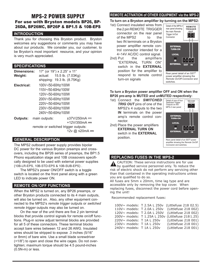# MPS-2 POWER SUPPLY For use with Bryston models BP26, BP-26DA, BP26MC, BP26P & BP1.5 & 10B-EPS

#### **INTRODUCTION**

Thank you for choosing this Bryston product. Bryston welcomes any suggestions or comments you may have about our products. We consider you, our customer, to be Bryston's most important resource, and your opinion is very much appreciated.

#### **SPECIFICATIONS**

| <b>Dimensions:</b>            | 17" (or 19") x 2.25" x 11" |                                                                                                                                                                                                                    |  |  |
|-------------------------------|----------------------------|--------------------------------------------------------------------------------------------------------------------------------------------------------------------------------------------------------------------|--|--|
|                               |                            |                                                                                                                                                                                                                    |  |  |
|                               |                            |                                                                                                                                                                                                                    |  |  |
|                               |                            |                                                                                                                                                                                                                    |  |  |
|                               |                            |                                                                                                                                                                                                                    |  |  |
|                               |                            |                                                                                                                                                                                                                    |  |  |
|                               |                            |                                                                                                                                                                                                                    |  |  |
|                               |                            |                                                                                                                                                                                                                    |  |  |
|                               |                            |                                                                                                                                                                                                                    |  |  |
|                               |                            |                                                                                                                                                                                                                    |  |  |
| <b>Outputs:</b> main outputs: |                            | ±37V/250mA                                                                                                                                                                                                         |  |  |
|                               |                            | +12V/350mA                                                                                                                                                                                                         |  |  |
|                               |                            | actual: 15.5 lb. (7.03Kg)<br>shipping: 19.3 lb. (8.75Kg)<br>100V~/50-60Hz/100W<br>110V~/50-60Hz/100W<br>120V~/50-60Hz/100W<br>200V~/50-60Hz/100W<br>220V~/50-60Hz/100W<br>230V~/50-60Hz/100W<br>240V~/50-60Hz/100W |  |  |

remote or switched trigger outputs: 12v @ ≤20mA ==

#### **GENERAL DESCRIPTION**

The MPS2 outboard power supply provides bipolar DC power for the various Bryston preamps and crossovers, including the BP26 series of preamps, the BP1.5 Phono equalization stage and 10B crossovers specifically designed to be used with external power supplies (10B-LR-EPS, 10B-STD-EPS & 10B-SUB-EPS) .

The MPS2's power ON/OFF switch is a toggle switch is located on the front panel along with a green LED to indicate power ON.

### **REMOTE ON/OFF FUNCTIONS**

When the MPS2 is turned on, any BP26 preamps, or other Bryston products connected to its 4 main outputs, will also be turned on. Also, any other equipment connected to the MPS2's *remote trigger* outputs or *switched remote trigger* outputs may also be turned on.

On the rear of the unit there are five 2 pin terminal blocks that provide control signals for remote on/off functions. Plug-in screw adjust terminal blocks are provided for all 5 of these connectors. These terminal blocks accept bare wires between 12 and 26 AWG. Insulated wires should be stripped to expose .3 inches (5/16" or 8mm) of bare wire. Use a small blade screwdriver (<1/8") to open and close the wire cages. Do not overtighten; maximum torque should be 4.5 pound-inches (0.5N-m) or less.

### **REMOTE ACTIVATION of OTHER EQUIPMENT via the MPS-2**

**To turn on a Bryston amplifier by turning on the MPS2:** 

- 1st) Connect insulated wires from [ the 2 pin REMOTE TRIGGER connector on the rear panel of the MPS2 to the two IN terminals on a Bryston power amplifier remote control connector intended for a 4~14V AC/DC control signal.
- 2nd) Put the amplifiers "EXTERNAL TURN ON" switch in the **EXTERNAL** position for the amplifier to respond to remote control turn-on signals



#### **To turn a Bryston power amplifier OFF and ON when the BP26 pre-amp is MUTED and unMUTED respectively:**

- 1st) Connect the *SWITCHED TRIG OUT* pins of one of the MPS2's 4 outputs to the two **IN** terminals on the power amp's remote control connector.
- 2nd) Place the power amplifiers **EXTERNAL TURN ON**  switch in the **EXTERNAL**  position.



### **REPLACING FUSES IN THE MPS-2**

CAUTION: These service instructions are for use by qualified service personnel only. To reduce the risk of electric shock do not perform any servicing other than that contained in the operating instructions unless you are qualified to do so.

All fuses are 5mm x 20mm, time lag type and are accessible only by removing the top cover. When replacing fuses, disconnect the power cord before opening the unit!

Recommended replacement fuses:

| 100V~ models: T 2.5A L 250v | (Littlefuse 218 02.5)                             |
|-----------------------------|---------------------------------------------------|
| 110V~ models: T 2.0A L 250v | (Littlefuse 218 002)                              |
| 120V~ models: T 2.0A L 250V | (Littlefuse 218 002)                              |
|                             | 200V~ models: T 1.25A L 250v (Littlefuse 2181.25) |
| 220V~ models: T 1A L 250v   | (Littlefuse 218 001)                              |
| 230V~ models: T 1A L 250v   | (Littlefuse 218 001)                              |
| 240V~ models: T 1A L 250v   | (Littlefuse 218 001)                              |